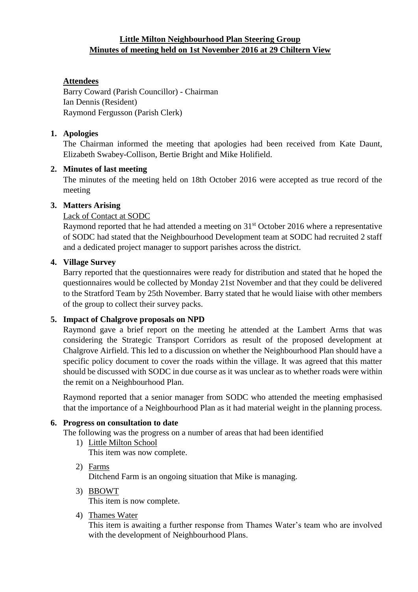## **Little Milton Neighbourhood Plan Steering Group Minutes of meeting held on 1st November 2016 at 29 Chiltern View**

# **Attendees**

Barry Coward (Parish Councillor) - Chairman Ian Dennis (Resident) Raymond Fergusson (Parish Clerk)

## **1. Apologies**

The Chairman informed the meeting that apologies had been received from Kate Daunt, Elizabeth Swabey-Collison, Bertie Bright and Mike Holifield.

## **2. Minutes of last meeting**

The minutes of the meeting held on 18th October 2016 were accepted as true record of the meeting

## **3. Matters Arising**

## Lack of Contact at SODC

Raymond reported that he had attended a meeting on 31<sup>st</sup> October 2016 where a representative of SODC had stated that the Neighbourhood Development team at SODC had recruited 2 staff and a dedicated project manager to support parishes across the district.

## **4. Village Survey**

Barry reported that the questionnaires were ready for distribution and stated that he hoped the questionnaires would be collected by Monday 21st November and that they could be delivered to the Stratford Team by 25th November. Barry stated that he would liaise with other members of the group to collect their survey packs.

## **5. Impact of Chalgrove proposals on NPD**

Raymond gave a brief report on the meeting he attended at the Lambert Arms that was considering the Strategic Transport Corridors as result of the proposed development at Chalgrove Airfield. This led to a discussion on whether the Neighbourhood Plan should have a specific policy document to cover the roads within the village. It was agreed that this matter should be discussed with SODC in due course as it was unclear as to whether roads were within the remit on a Neighbourhood Plan.

Raymond reported that a senior manager from SODC who attended the meeting emphasised that the importance of a Neighbourhood Plan as it had material weight in the planning process.

# **6. Progress on consultation to date**

The following was the progress on a number of areas that had been identified

- 1) Little Milton School This item was now complete.
- 2) Farms Ditchend Farm is an ongoing situation that Mike is managing.
- 3) BBOWT This item is now complete.
- 4) Thames Water

This item is awaiting a further response from Thames Water's team who are involved with the development of Neighbourhood Plans.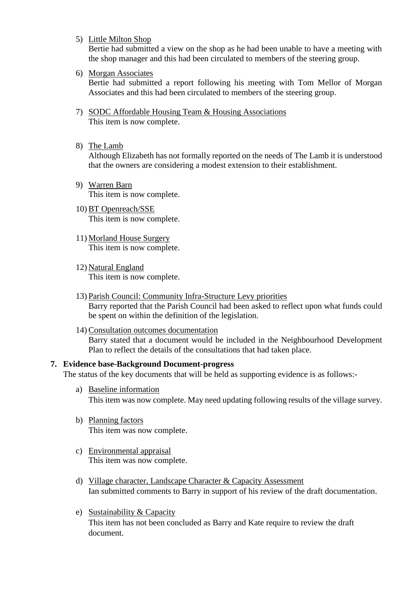5) Little Milton Shop

Bertie had submitted a view on the shop as he had been unable to have a meeting with the shop manager and this had been circulated to members of the steering group.

6) Morgan Associates

Bertie had submitted a report following his meeting with Tom Mellor of Morgan Associates and this had been circulated to members of the steering group.

- 7) SODC Affordable Housing Team & Housing Associations This item is now complete.
- 8) The Lamb

Although Elizabeth has not formally reported on the needs of The Lamb it is understood that the owners are considering a modest extension to their establishment.

- 9) Warren Barn This item is now complete.
- 10) BT Openreach/SSE This item is now complete.
- 11) Morland House Surgery This item is now complete.
- 12) Natural England This item is now complete.
- 13) Parish Council: Community Infra-Structure Levy priorities Barry reported that the Parish Council had been asked to reflect upon what funds could be spent on within the definition of the legislation.
- 14) Consultation outcomes documentation Barry stated that a document would be included in the Neighbourhood Development Plan to reflect the details of the consultations that had taken place.

#### **7. Evidence base-Background Document-progress**

The status of the key documents that will be held as supporting evidence is as follows:-

- a) Baseline information This item was now complete. May need updating following results of the village survey.
- b) Planning factors This item was now complete.
- c) Environmental appraisal This item was now complete.
- d) Village character, Landscape Character & Capacity Assessment Ian submitted comments to Barry in support of his review of the draft documentation.
- e) Sustainability & Capacity This item has not been concluded as Barry and Kate require to review the draft document.